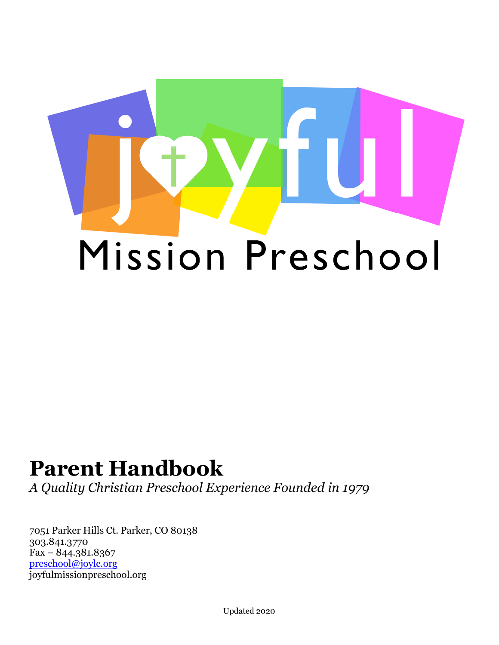

# **Parent Handbook**

*A Quality Christian Preschool Experience Founded in 1979*

7051 Parker Hills Ct. Parker, CO 80138 303.841.3770 Fax – 844.381.8367 [preschool@joylc.org](mailto:preschool@joylc.org) joyfulmissionpreschool.org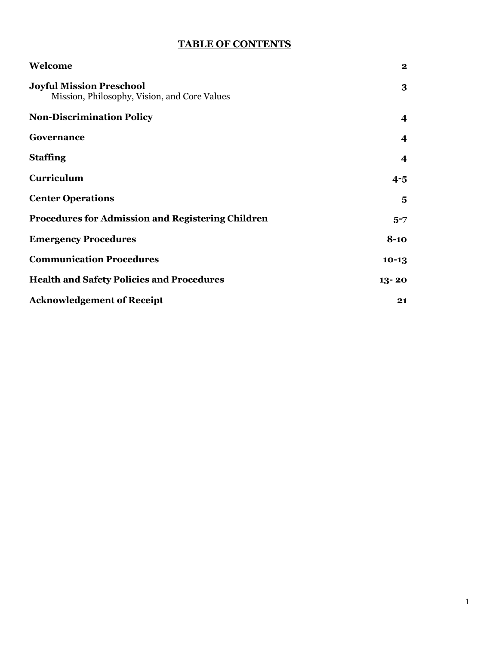# **TABLE OF CONTENTS**

| Welcome                                                                         | $\mathbf 2$             |
|---------------------------------------------------------------------------------|-------------------------|
| <b>Joyful Mission Preschool</b><br>Mission, Philosophy, Vision, and Core Values | 3                       |
| <b>Non-Discrimination Policy</b>                                                | 4                       |
| Governance                                                                      | $\boldsymbol{4}$        |
| <b>Staffing</b>                                                                 | $\boldsymbol{4}$        |
| Curriculum                                                                      | $4 - 5$                 |
| <b>Center Operations</b>                                                        | $\overline{\mathbf{5}}$ |
| <b>Procedures for Admission and Registering Children</b>                        | $5 - 7$                 |
| <b>Emergency Procedures</b>                                                     | $8-10$                  |
| <b>Communication Procedures</b>                                                 | $10-13$                 |
| <b>Health and Safety Policies and Procedures</b>                                | $13 - 20$               |
| <b>Acknowledgement of Receipt</b>                                               | 21                      |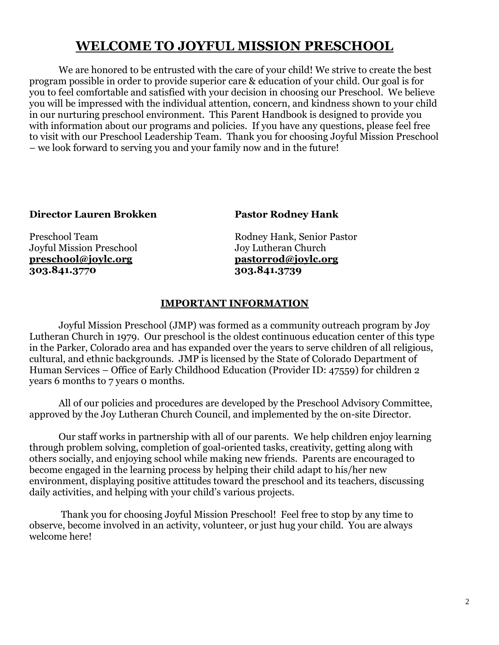# **WELCOME TO JOYFUL MISSION PRESCHOOL**

 We are honored to be entrusted with the care of your child! We strive to create the best program possible in order to provide superior care & education of your child. Our goal is for you to feel comfortable and satisfied with your decision in choosing our Preschool. We believe you will be impressed with the individual attention, concern, and kindness shown to your child in our nurturing preschool environment. This Parent Handbook is designed to provide you with information about our programs and policies. If you have any questions, please feel free to visit with our Preschool Leadership Team. Thank you for choosing Joyful Mission Preschool – we look forward to serving you and your family now and in the future!

#### **Director Lauren Brokken Pastor Rodney Hank**

Joyful Mission Preschool **[preschool@joylc.org](mailto:preschool@joylc.org) [pastorrod@joylc.org](mailto:pastorrod@joylc.org) 303.841.3770 303.841.3739**

Preschool Team Rodney Hank, Senior Pastor<br>Joyful Mission Preschool Joy Lutheran Church

# **IMPORTANT INFORMATION**

 Joyful Mission Preschool (JMP) was formed as a community outreach program by Joy Lutheran Church in 1979. Our preschool is the oldest continuous education center of this type in the Parker, Colorado area and has expanded over the years to serve children of all religious, cultural, and ethnic backgrounds. JMP is licensed by the State of Colorado Department of Human Services – Office of Early Childhood Education (Provider ID: 47559) for children 2 years 6 months to 7 years 0 months.

 All of our policies and procedures are developed by the Preschool Advisory Committee, approved by the Joy Lutheran Church Council, and implemented by the on-site Director.

 Our staff works in partnership with all of our parents. We help children enjoy learning through problem solving, completion of goal-oriented tasks, creativity, getting along with others socially, and enjoying school while making new friends. Parents are encouraged to become engaged in the learning process by helping their child adapt to his/her new environment, displaying positive attitudes toward the preschool and its teachers, discussing daily activities, and helping with your child's various projects.

 Thank you for choosing Joyful Mission Preschool! Feel free to stop by any time to observe, become involved in an activity, volunteer, or just hug your child. You are always welcome here!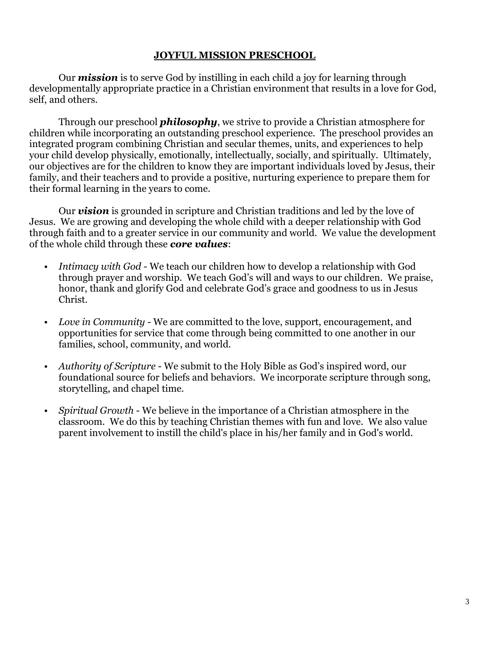# **JOYFUL MISSION PRESCHOOL**

 Our *mission* is to serve God by instilling in each child a joy for learning through developmentally appropriate practice in a Christian environment that results in a love for God, self, and others.

 Through our preschool *philosophy*, we strive to provide a Christian atmosphere for children while incorporating an outstanding preschool experience. The preschool provides an integrated program combining Christian and secular themes, units, and experiences to help your child develop physically, emotionally, intellectually, socially, and spiritually. Ultimately, our objectives are for the children to know they are important individuals loved by Jesus, their family, and their teachers and to provide a positive, nurturing experience to prepare them for their formal learning in the years to come.

 Our *vision* is grounded in scripture and Christian traditions and led by the love of Jesus. We are growing and developing the whole child with a deeper relationship with God through faith and to a greater service in our community and world. We value the development of the whole child through these *core values*:

- *Intimacy with God*  We teach our children how to develop a relationship with God through prayer and worship. We teach God's will and ways to our children. We praise, honor, thank and glorify God and celebrate God's grace and goodness to us in Jesus Christ.
- *Love in Community*  We are committed to the love, support, encouragement, and opportunities for service that come through being committed to one another in our families, school, community, and world.
- *Authority of Scripture* We submit to the Holy Bible as God's inspired word, our foundational source for beliefs and behaviors. We incorporate scripture through song, storytelling, and chapel time.
- *Spiritual Growth* We believe in the importance of a Christian atmosphere in the classroom. We do this by teaching Christian themes with fun and love. We also value parent involvement to instill the child's place in his/her family and in God's world.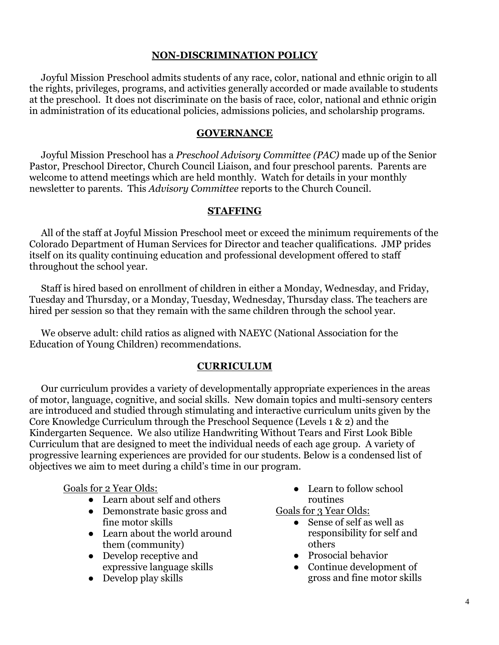# **NON-DISCRIMINATION POLICY**

 Joyful Mission Preschool admits students of any race, color, national and ethnic origin to all the rights, privileges, programs, and activities generally accorded or made available to students at the preschool. It does not discriminate on the basis of race, color, national and ethnic origin in administration of its educational policies, admissions policies, and scholarship programs.

#### **GOVERNANCE**

 Joyful Mission Preschool has a *Preschool Advisory Committee (PAC)* made up of the Senior Pastor, Preschool Director, Church Council Liaison, and four preschool parents. Parents are welcome to attend meetings which are held monthly. Watch for details in your monthly newsletter to parents. This *Advisory Committee* reports to the Church Council.

#### **STAFFING**

 All of the staff at Joyful Mission Preschool meet or exceed the minimum requirements of the Colorado Department of Human Services for Director and teacher qualifications. JMP prides itself on its quality continuing education and professional development offered to staff throughout the school year.

 Staff is hired based on enrollment of children in either a Monday, Wednesday, and Friday, Tuesday and Thursday, or a Monday, Tuesday, Wednesday, Thursday class. The teachers are hired per session so that they remain with the same children through the school year.

 We observe adult: child ratios as aligned with NAEYC (National Association for the Education of Young Children) recommendations.

#### **CURRICULUM**

 Our curriculum provides a variety of developmentally appropriate experiences in the areas of motor, language, cognitive, and social skills. New domain topics and multi-sensory centers are introduced and studied through stimulating and interactive curriculum units given by the Core Knowledge Curriculum through the Preschool Sequence (Levels 1 & 2) and the Kindergarten Sequence. We also utilize Handwriting Without Tears and First Look Bible Curriculum that are designed to meet the individual needs of each age group. A variety of progressive learning experiences are provided for our students. Below is a condensed list of objectives we aim to meet during a child's time in our program.

#### Goals for 2 Year Olds:

- Learn about self and others
- Demonstrate basic gross and fine motor skills
- Learn about the world around them (community)
- Develop receptive and expressive language skills
- Develop play skills

• Learn to follow school routines

Goals for 3 Year Olds:

- Sense of self as well as responsibility for self and others
- Prosocial behavior
- Continue development of gross and fine motor skills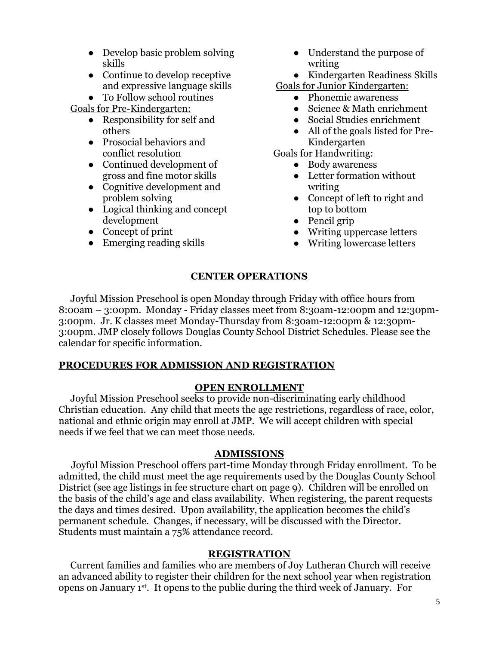- Develop basic problem solving skills
- Continue to develop receptive and expressive language skills

● To Follow school routines

Goals for Pre-Kindergarten:

- Responsibility for self and others
- Prosocial behaviors and conflict resolution
- Continued development of gross and fine motor skills
- Cognitive development and problem solving
- Logical thinking and concept development
- Concept of print
- Emerging reading skills
- Understand the purpose of writing
- Kindergarten Readiness Skills

Goals for Junior Kindergarten:

- Phonemic awareness
- Science & Math enrichment
- Social Studies enrichment
- All of the goals listed for Pre-Kindergarten

Goals for Handwriting:

- Body awareness
- Letter formation without writing
- Concept of left to right and top to bottom
- Pencil grip
- Writing uppercase letters
- Writing lowercase letters

# **CENTER OPERATIONS**

 Joyful Mission Preschool is open Monday through Friday with office hours from 8:00am – 3:00pm. Monday - Friday classes meet from 8:30am-12:00pm and 12:30pm-3:00pm. Jr. K classes meet Monday-Thursday from 8:30am-12:00pm & 12:30pm-3:00pm. JMP closely follows Douglas County School District Schedules. Please see the calendar for specific information.

# **PROCEDURES FOR ADMISSION AND REGISTRATION**

# **OPEN ENROLLMENT**

 Joyful Mission Preschool seeks to provide non-discriminating early childhood Christian education. Any child that meets the age restrictions, regardless of race, color, national and ethnic origin may enroll at JMP. We will accept children with special needs if we feel that we can meet those needs.

# **ADMISSIONS**

Joyful Mission Preschool offers part-time Monday through Friday enrollment. To be admitted, the child must meet the age requirements used by the Douglas County School District (see age listings in fee structure chart on page 9). Children will be enrolled on the basis of the child's age and class availability. When registering, the parent requests the days and times desired. Upon availability, the application becomes the child's permanent schedule. Changes, if necessary, will be discussed with the Director. Students must maintain a 75% attendance record.

# **REGISTRATION**

 Current families and families who are members of Joy Lutheran Church will receive an advanced ability to register their children for the next school year when registration opens on January 1st. It opens to the public during the third week of January. For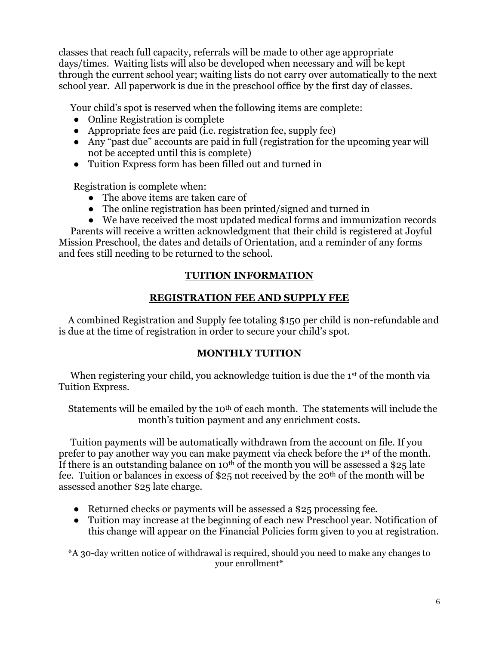classes that reach full capacity, referrals will be made to other age appropriate days/times. Waiting lists will also be developed when necessary and will be kept through the current school year; waiting lists do not carry over automatically to the next school year. All paperwork is due in the preschool office by the first day of classes.

Your child's spot is reserved when the following items are complete:

- Online Registration is complete
- Appropriate fees are paid (i.e. registration fee, supply fee)
- Any "past due" accounts are paid in full (registration for the upcoming year will not be accepted until this is complete)
- Tuition Express form has been filled out and turned in

Registration is complete when:

- The above items are taken care of
- The online registration has been printed/signed and turned in
- We have received the most updated medical forms and immunization records

 Parents will receive a written acknowledgment that their child is registered at Joyful Mission Preschool, the dates and details of Orientation, and a reminder of any forms and fees still needing to be returned to the school.

# **TUITION INFORMATION**

# **REGISTRATION FEE AND SUPPLY FEE**

 A combined Registration and Supply fee totaling \$150 per child is non-refundable and is due at the time of registration in order to secure your child's spot.

# **MONTHLY TUITION**

When registering your child, you acknowledge tuition is due the 1<sup>st</sup> of the month via Tuition Express.

Statements will be emailed by the 10<sup>th</sup> of each month. The statements will include the month's tuition payment and any enrichment costs.

 Tuition payments will be automatically withdrawn from the account on file. If you prefer to pay another way you can make payment via check before the 1st of the month. If there is an outstanding balance on 10<sup>th</sup> of the month you will be assessed a \$25 late fee. Tuition or balances in excess of \$25 not received by the 20th of the month will be assessed another \$25 late charge.

- Returned checks or payments will be assessed a \$25 processing fee.
- Tuition may increase at the beginning of each new Preschool year. Notification of this change will appear on the Financial Policies form given to you at registration.

\*A 30-day written notice of withdrawal is required, should you need to make any changes to your enrollment\*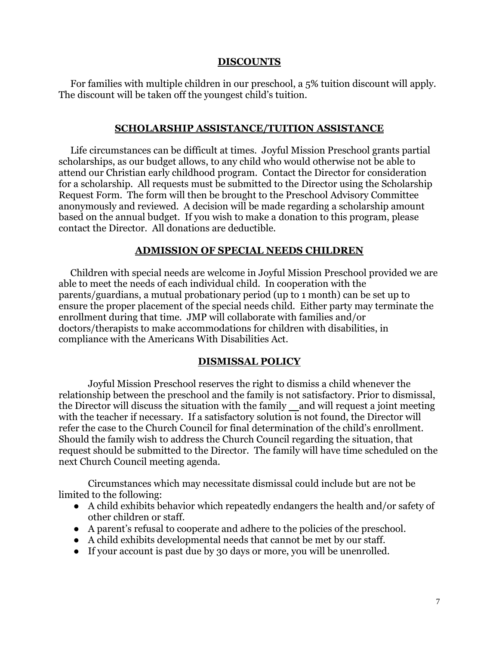#### **DISCOUNTS**

 For families with multiple children in our preschool, a 5% tuition discount will apply. The discount will be taken off the youngest child's tuition.

#### **SCHOLARSHIP ASSISTANCE/TUITION ASSISTANCE**

 Life circumstances can be difficult at times. Joyful Mission Preschool grants partial scholarships, as our budget allows, to any child who would otherwise not be able to attend our Christian early childhood program. Contact the Director for consideration for a scholarship. All requests must be submitted to the Director using the Scholarship Request Form. The form will then be brought to the Preschool Advisory Committee anonymously and reviewed. A decision will be made regarding a scholarship amount based on the annual budget. If you wish to make a donation to this program, please contact the Director. All donations are deductible.

#### **ADMISSION OF SPECIAL NEEDS CHILDREN**

 Children with special needs are welcome in Joyful Mission Preschool provided we are able to meet the needs of each individual child. In cooperation with the parents/guardians, a mutual probationary period (up to 1 month) can be set up to ensure the proper placement of the special needs child. Either party may terminate the enrollment during that time. JMP will collaborate with families and/or doctors/therapists to make accommodations for children with disabilities, in compliance with the Americans With Disabilities Act.

#### **DISMISSAL POLICY**

 Joyful Mission Preschool reserves the right to dismiss a child whenever the relationship between the preschool and the family is not satisfactory. Prior to dismissal, the Director will discuss the situation with the family  $\_\,$  and will request a joint meeting with the teacher if necessary. If a satisfactory solution is not found, the Director will refer the case to the Church Council for final determination of the child's enrollment. Should the family wish to address the Church Council regarding the situation, that request should be submitted to the Director. The family will have time scheduled on the next Church Council meeting agenda.

Circumstances which may necessitate dismissal could include but are not be limited to the following:

- A child exhibits behavior which repeatedly endangers the health and/or safety of other children or staff.
- A parent's refusal to cooperate and adhere to the policies of the preschool.
- A child exhibits developmental needs that cannot be met by our staff.
- If your account is past due by 30 days or more, you will be unenrolled.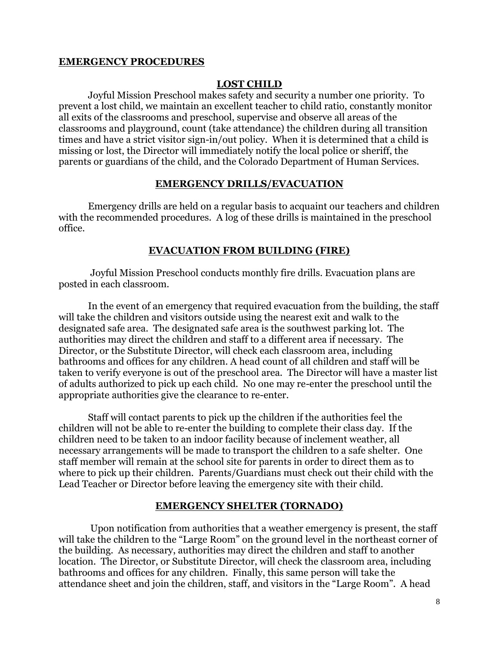#### **EMERGENCY PROCEDURES**

#### **LOST CHILD**

 Joyful Mission Preschool makes safety and security a number one priority. To prevent a lost child, we maintain an excellent teacher to child ratio, constantly monitor all exits of the classrooms and preschool, supervise and observe all areas of the classrooms and playground, count (take attendance) the children during all transition times and have a strict visitor sign-in/out policy. When it is determined that a child is missing or lost, the Director will immediately notify the local police or sheriff, the parents or guardians of the child, and the Colorado Department of Human Services.

#### **EMERGENCY DRILLS/EVACUATION**

 Emergency drills are held on a regular basis to acquaint our teachers and children with the recommended procedures. A log of these drills is maintained in the preschool office.

#### **EVACUATION FROM BUILDING (FIRE)**

 Joyful Mission Preschool conducts monthly fire drills. Evacuation plans are posted in each classroom.

 In the event of an emergency that required evacuation from the building, the staff will take the children and visitors outside using the nearest exit and walk to the designated safe area. The designated safe area is the southwest parking lot. The authorities may direct the children and staff to a different area if necessary. The Director, or the Substitute Director, will check each classroom area, including bathrooms and offices for any children. A head count of all children and staff will be taken to verify everyone is out of the preschool area. The Director will have a master list of adults authorized to pick up each child. No one may re-enter the preschool until the appropriate authorities give the clearance to re-enter.

 Staff will contact parents to pick up the children if the authorities feel the children will not be able to re-enter the building to complete their class day. If the children need to be taken to an indoor facility because of inclement weather, all necessary arrangements will be made to transport the children to a safe shelter. One staff member will remain at the school site for parents in order to direct them as to where to pick up their children. Parents/Guardians must check out their child with the Lead Teacher or Director before leaving the emergency site with their child.

#### **EMERGENCY SHELTER (TORNADO)**

 Upon notification from authorities that a weather emergency is present, the staff will take the children to the "Large Room" on the ground level in the northeast corner of the building. As necessary, authorities may direct the children and staff to another location. The Director, or Substitute Director, will check the classroom area, including bathrooms and offices for any children. Finally, this same person will take the attendance sheet and join the children, staff, and visitors in the "Large Room". A head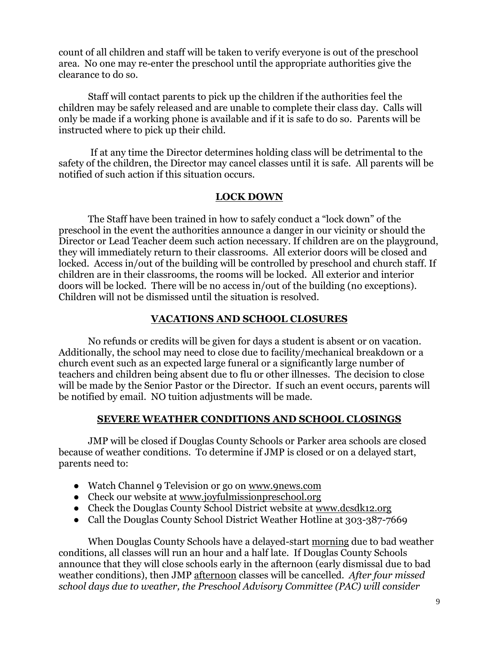count of all children and staff will be taken to verify everyone is out of the preschool area. No one may re-enter the preschool until the appropriate authorities give the clearance to do so.

 Staff will contact parents to pick up the children if the authorities feel the children may be safely released and are unable to complete their class day. Calls will only be made if a working phone is available and if it is safe to do so. Parents will be instructed where to pick up their child.

 If at any time the Director determines holding class will be detrimental to the safety of the children, the Director may cancel classes until it is safe. All parents will be notified of such action if this situation occurs.

# **LOCK DOWN**

The Staff have been trained in how to safely conduct a "lock down" of the preschool in the event the authorities announce a danger in our vicinity or should the Director or Lead Teacher deem such action necessary. If children are on the playground, they will immediately return to their classrooms. All exterior doors will be closed and locked. Access in/out of the building will be controlled by preschool and church staff. If children are in their classrooms, the rooms will be locked. All exterior and interior doors will be locked. There will be no access in/out of the building (no exceptions). Children will not be dismissed until the situation is resolved.

# **VACATIONS AND SCHOOL CLOSURES**

No refunds or credits will be given for days a student is absent or on vacation. Additionally, the school may need to close due to facility/mechanical breakdown or a church event such as an expected large funeral or a significantly large number of teachers and children being absent due to flu or other illnesses. The decision to close will be made by the Senior Pastor or the Director. If such an event occurs, parents will be notified by email. NO tuition adjustments will be made.

#### **SEVERE WEATHER CONDITIONS AND SCHOOL CLOSINGS**

 JMP will be closed if Douglas County Schools or Parker area schools are closed because of weather conditions. To determine if JMP is closed or on a delayed start, parents need to:

- Watch Channel 9 Television or go on [www.9news.com](http://www.9news.com/)
- Check our website at [www.joyfulmissionpreschool.org](http://www.joyfulmissionpreschool.org/)
- Check the Douglas County School District website at [www.dcsdk12.org](http://www.dcsdk12.org/)
- Call the Douglas County School District Weather Hotline at 303-387-7669

 When Douglas County Schools have a delayed-start morning due to bad weather conditions, all classes will run an hour and a half late. If Douglas County Schools announce that they will close schools early in the afternoon (early dismissal due to bad weather conditions), then JMP afternoon classes will be cancelled. *After four missed school days due to weather, the Preschool Advisory Committee (PAC) will consider*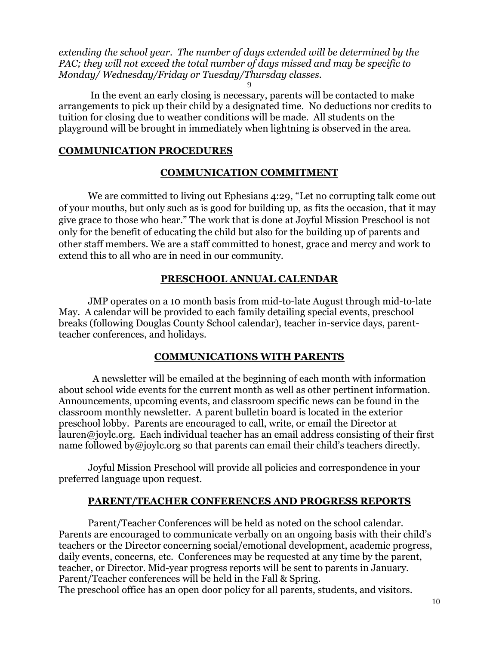*extending the school year. The number of days extended will be determined by the PAC; they will not exceed the total number of days missed and may be specific to Monday/ Wednesday/Friday or Tuesday/Thursday classes.* 9

 In the event an early closing is necessary, parents will be contacted to make arrangements to pick up their child by a designated time. No deductions nor credits to tuition for closing due to weather conditions will be made. All students on the playground will be brought in immediately when lightning is observed in the area.

# **COMMUNICATION PROCEDURES**

# **COMMUNICATION COMMITMENT**

We are committed to living out Ephesians 4:29, "Let no corrupting talk come out of your mouths, but only such as is good for building up, as fits the occasion, that it may give grace to those who hear." The work that is done at Joyful Mission Preschool is not only for the benefit of educating the child but also for the building up of parents and other staff members. We are a staff committed to honest, grace and mercy and work to extend this to all who are in need in our community.

# **PRESCHOOL ANNUAL CALENDAR**

 JMP operates on a 10 month basis from mid-to-late August through mid-to-late May. A calendar will be provided to each family detailing special events, preschool breaks (following Douglas County School calendar), teacher in-service days, parentteacher conferences, and holidays.

# **COMMUNICATIONS WITH PARENTS**

 A newsletter will be emailed at the beginning of each month with information about school wide events for the current month as well as other pertinent information. Announcements, upcoming events, and classroom specific news can be found in the classroom monthly newsletter. A parent bulletin board is located in the exterior preschool lobby. Parents are encouraged to call, write, or email the Director at lauren@joylc.org. Each individual teacher has an email address consisting of their first name followed [by@joylc.org](mailto:by@joylc.org) so that parents can email their child's teachers directly.

Joyful Mission Preschool will provide all policies and correspondence in your preferred language upon request.

# **PARENT/TEACHER CONFERENCES AND PROGRESS REPORTS**

 Parent/Teacher Conferences will be held as noted on the school calendar. Parents are encouraged to communicate verbally on an ongoing basis with their child's teachers or the Director concerning social/emotional development, academic progress, daily events, concerns, etc. Conferences may be requested at any time by the parent, teacher, or Director. Mid-year progress reports will be sent to parents in January. Parent/Teacher conferences will be held in the Fall & Spring. The preschool office has an open door policy for all parents, students, and visitors.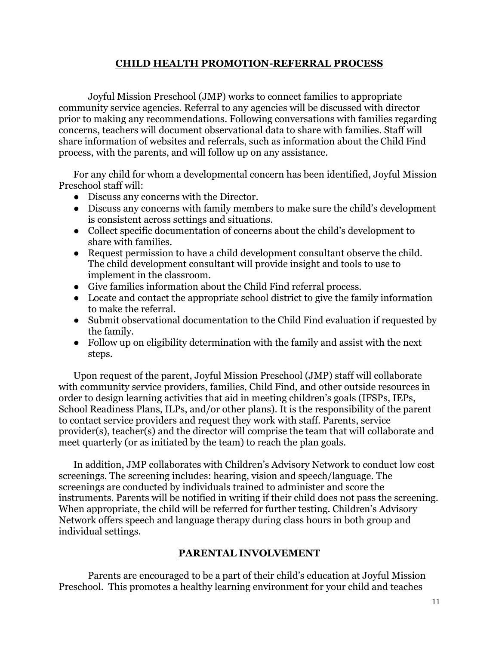# **CHILD HEALTH PROMOTION-REFERRAL PROCESS**

Joyful Mission Preschool (JMP) works to connect families to appropriate community service agencies. Referral to any agencies will be discussed with director prior to making any recommendations. Following conversations with families regarding concerns, teachers will document observational data to share with families. Staff will share information of websites and referrals, such as information about the Child Find process, with the parents, and will follow up on any assistance.

For any child for whom a developmental concern has been identified, Joyful Mission Preschool staff will:

- Discuss any concerns with the Director.
- Discuss any concerns with family members to make sure the child's development is consistent across settings and situations.
- Collect specific documentation of concerns about the child's development to share with families.
- Request permission to have a child development consultant observe the child. The child development consultant will provide insight and tools to use to implement in the classroom.
- Give families information about the Child Find referral process.
- Locate and contact the appropriate school district to give the family information to make the referral.
- Submit observational documentation to the Child Find evaluation if requested by the family.
- Follow up on eligibility determination with the family and assist with the next steps.

Upon request of the parent, Joyful Mission Preschool (JMP) staff will collaborate with community service providers, families, Child Find, and other outside resources in order to design learning activities that aid in meeting children's goals (IFSPs, IEPs, School Readiness Plans, ILPs, and/or other plans). It is the responsibility of the parent to contact service providers and request they work with staff. Parents, service provider(s), teacher(s) and the director will comprise the team that will collaborate and meet quarterly (or as initiated by the team) to reach the plan goals.

In addition, JMP collaborates with Children's Advisory Network to conduct low cost screenings. The screening includes: hearing, vision and speech/language. The screenings are conducted by individuals trained to administer and score the instruments. Parents will be notified in writing if their child does not pass the screening. When appropriate, the child will be referred for further testing. Children's Advisory Network offers speech and language therapy during class hours in both group and individual settings.

# **PARENTAL INVOLVEMENT**

 Parents are encouraged to be a part of their child's education at Joyful Mission Preschool. This promotes a healthy learning environment for your child and teaches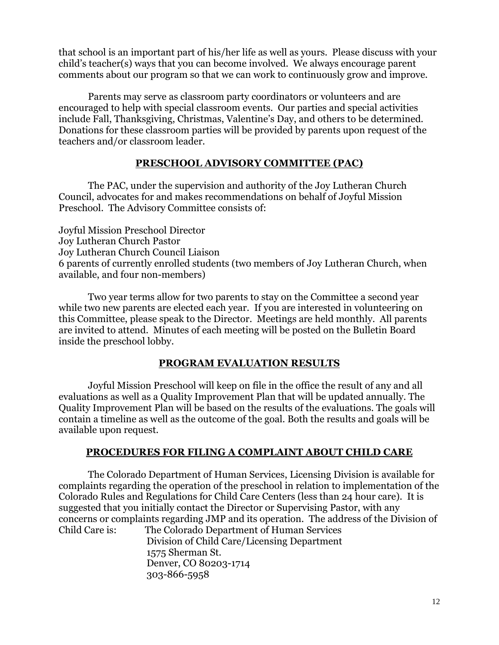that school is an important part of his/her life as well as yours. Please discuss with your child's teacher(s) ways that you can become involved. We always encourage parent comments about our program so that we can work to continuously grow and improve.

 Parents may serve as classroom party coordinators or volunteers and are encouraged to help with special classroom events. Our parties and special activities include Fall, Thanksgiving, Christmas, Valentine's Day, and others to be determined. Donations for these classroom parties will be provided by parents upon request of the teachers and/or classroom leader.

# **PRESCHOOL ADVISORY COMMITTEE (PAC)**

 The PAC, under the supervision and authority of the Joy Lutheran Church Council, advocates for and makes recommendations on behalf of Joyful Mission Preschool. The Advisory Committee consists of:

Joyful Mission Preschool Director Joy Lutheran Church Pastor Joy Lutheran Church Council Liaison 6 parents of currently enrolled students (two members of Joy Lutheran Church, when available, and four non-members)

 Two year terms allow for two parents to stay on the Committee a second year while two new parents are elected each year. If you are interested in volunteering on this Committee, please speak to the Director. Meetings are held monthly. All parents are invited to attend. Minutes of each meeting will be posted on the Bulletin Board inside the preschool lobby.

# **PROGRAM EVALUATION RESULTS**

Joyful Mission Preschool will keep on file in the office the result of any and all evaluations as well as a Quality Improvement Plan that will be updated annually. The Quality Improvement Plan will be based on the results of the evaluations. The goals will contain a timeline as well as the outcome of the goal. Both the results and goals will be available upon request.

# **PROCEDURES FOR FILING A COMPLAINT ABOUT CHILD CARE**

 The Colorado Department of Human Services, Licensing Division is available for complaints regarding the operation of the preschool in relation to implementation of the Colorado Rules and Regulations for Child Care Centers (less than 24 hour care). It is suggested that you initially contact the Director or Supervising Pastor, with any concerns or complaints regarding JMP and its operation. The address of the Division of Child Care is: The Colorado Department of Human Services

Division of Child Care/Licensing Department 1575 Sherman St. Denver, CO 80203-1714 303-866-5958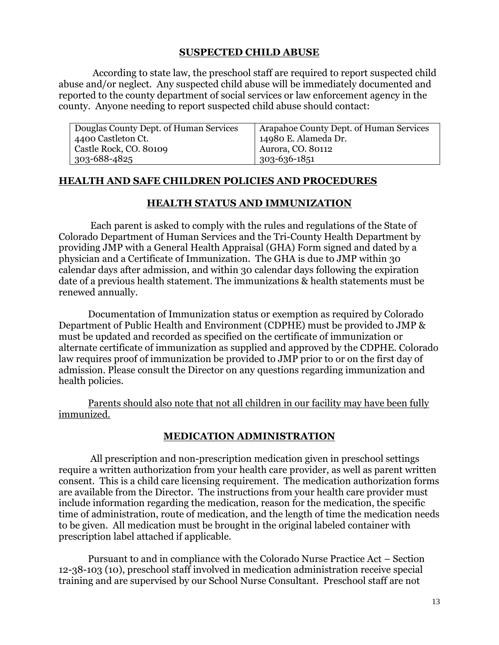#### **SUSPECTED CHILD ABUSE**

 According to state law, the preschool staff are required to report suspected child abuse and/or neglect. Any suspected child abuse will be immediately documented and reported to the county department of social services or law enforcement agency in the county. Anyone needing to report suspected child abuse should contact:

| Douglas County Dept. of Human Services | Arapahoe County Dept. of Human Services |
|----------------------------------------|-----------------------------------------|
| 4400 Castleton Ct.                     | 14980 E. Alameda Dr.                    |
| Castle Rock, CO. 80109                 | Aurora, CO. 80112                       |
| $303 - 688 - 4825$                     | 303-636-1851                            |

#### **HEALTH AND SAFE CHILDREN POLICIES AND PROCEDURES**

#### **HEALTH STATUS AND IMMUNIZATION**

 Each parent is asked to comply with the rules and regulations of the State of Colorado Department of Human Services and the Tri-County Health Department by providing JMP with a General Health Appraisal (GHA) Form signed and dated by a physician and a Certificate of Immunization. The GHA is due to JMP within 30 calendar days after admission, and within 30 calendar days following the expiration date of a previous health statement. The immunizations & health statements must be renewed annually.

 Documentation of Immunization status or exemption as required by Colorado Department of Public Health and Environment (CDPHE) must be provided to JMP & must be updated and recorded as specified on the certificate of immunization or alternate certificate of immunization as supplied and approved by the CDPHE. Colorado law requires proof of immunization be provided to JMP prior to or on the first day of admission. Please consult the Director on any questions regarding immunization and health policies.

Parents should also note that not all children in our facility may have been fully immunized.

# **MEDICATION ADMINISTRATION**

 All prescription and non-prescription medication given in preschool settings require a written authorization from your health care provider, as well as parent written consent. This is a child care licensing requirement. The medication authorization forms are available from the Director. The instructions from your health care provider must include information regarding the medication, reason for the medication, the specific time of administration, route of medication, and the length of time the medication needs to be given. All medication must be brought in the original labeled container with prescription label attached if applicable.

 Pursuant to and in compliance with the Colorado Nurse Practice Act – Section 12-38-103 (10), preschool staff involved in medication administration receive special training and are supervised by our School Nurse Consultant. Preschool staff are not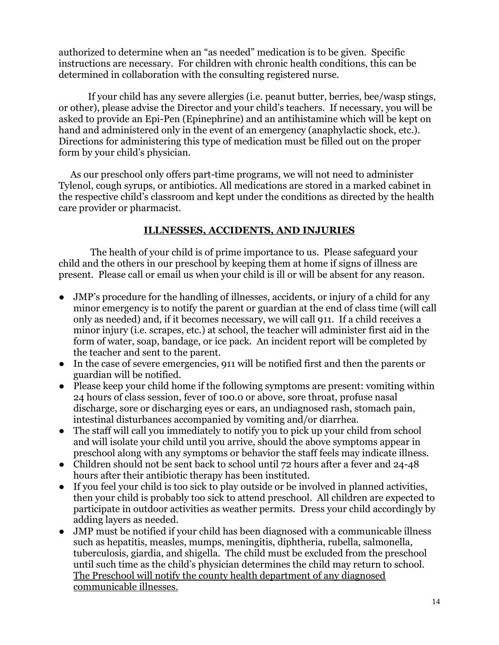authorized to determine when an "as needed" medication is to be given. Specific instructions are necessary. For children with chronic health conditions, this can be determined in collaboration with the consulting registered nurse.

 If your child has any severe allergies (i.e. peanut butter, berries, bee/wasp stings, or other), please advise the Director and your child's teachers. If necessary, you will be asked to provide an Epi-Pen (Epinephrine) and an antihistamine which will be kept on hand and administered only in the event of an emergency (anaphylactic shock, etc.). Directions for administering this type of medication must be filled out on the proper form by your child's physician.

 As our preschool only offers part-time programs, we will not need to administer Tylenol, cough syrups, or antibiotics. All medications are stored in a marked cabinet in the respective child's classroom and kept under the conditions as directed by the health care provider or pharmacist.

# **ILLNESSES, ACCIDENTS, AND INJURIES**

 The health of your child is of prime importance to us. Please safeguard your child and the others in our preschool by keeping them at home if signs of illness are present. Please call or email us when your child is ill or will be absent for any reason.

- JMP's procedure for the handling of illnesses, accidents, or injury of a child for any minor emergency is to notify the parent or guardian at the end of class time (will call only as needed) and, if it becomes necessary, we will call 911. If a child receives a minor injury (i.e. scrapes, etc.) at school, the teacher will administer first aid in the form of water, soap, bandage, or ice pack. An incident report will be completed by the teacher and sent to the parent.
- In the case of severe emergencies, 911 will be notified first and then the parents or guardian will be notified.
- Please keep your child home if the following symptoms are present: vomiting within 24 hours of class session, fever of 100.0 or above, sore throat, profuse nasal discharge, sore or discharging eyes or ears, an undiagnosed rash, stomach pain, intestinal disturbances accompanied by vomiting and/or diarrhea.
- The staff will call you immediately to notify you to pick up your child from school and will isolate your child until you arrive, should the above symptoms appear in preschool along with any symptoms or behavior the staff feels may indicate illness.
- Children should not be sent back to school until 72 hours after a fever and 24-48 hours after their antibiotic therapy has been instituted.
- If you feel your child is too sick to play outside or be involved in planned activities, then your child is probably too sick to attend preschool. All children are expected to participate in outdoor activities as weather permits. Dress your child accordingly by adding layers as needed.
- JMP must be notified if your child has been diagnosed with a communicable illness such as hepatitis, measles, mumps, meningitis, diphtheria, rubella, salmonella, tuberculosis, giardia, and shigella. The child must be excluded from the preschool until such time as the child's physician determines the child may return to school. The Preschool will notify the county health department of any diagnosed communicable illnesses.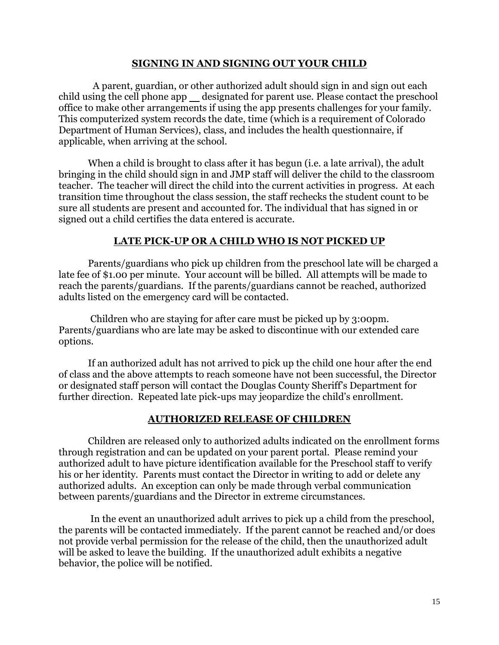#### **SIGNING IN AND SIGNING OUT YOUR CHILD**

A parent, guardian, or other authorized adult should sign in and sign out each child using the cell phone app \_\_ designated for parent use. Please contact the preschool office to make other arrangements if using the app presents challenges for your family. This computerized system records the date, time (which is a requirement of Colorado Department of Human Services), class, and includes the health questionnaire, if applicable, when arriving at the school.

 When a child is brought to class after it has begun (i.e. a late arrival), the adult bringing in the child should sign in and JMP staff will deliver the child to the classroom teacher. The teacher will direct the child into the current activities in progress. At each transition time throughout the class session, the staff rechecks the student count to be sure all students are present and accounted for. The individual that has signed in or signed out a child certifies the data entered is accurate.

#### **LATE PICK-UP OR A CHILD WHO IS NOT PICKED UP**

 Parents/guardians who pick up children from the preschool late will be charged a late fee of \$1.00 per minute. Your account will be billed. All attempts will be made to reach the parents/guardians. If the parents/guardians cannot be reached, authorized adults listed on the emergency card will be contacted.

 Children who are staying for after care must be picked up by 3:00pm. Parents/guardians who are late may be asked to discontinue with our extended care options.

 If an authorized adult has not arrived to pick up the child one hour after the end of class and the above attempts to reach someone have not been successful, the Director or designated staff person will contact the Douglas County Sheriff's Department for further direction. Repeated late pick-ups may jeopardize the child's enrollment.

#### **AUTHORIZED RELEASE OF CHILDREN**

 Children are released only to authorized adults indicated on the enrollment forms through registration and can be updated on your parent portal. Please remind your authorized adult to have picture identification available for the Preschool staff to verify his or her identity. Parents must contact the Director in writing to add or delete any authorized adults. An exception can only be made through verbal communication between parents/guardians and the Director in extreme circumstances.

 In the event an unauthorized adult arrives to pick up a child from the preschool, the parents will be contacted immediately. If the parent cannot be reached and/or does not provide verbal permission for the release of the child, then the unauthorized adult will be asked to leave the building. If the unauthorized adult exhibits a negative behavior, the police will be notified.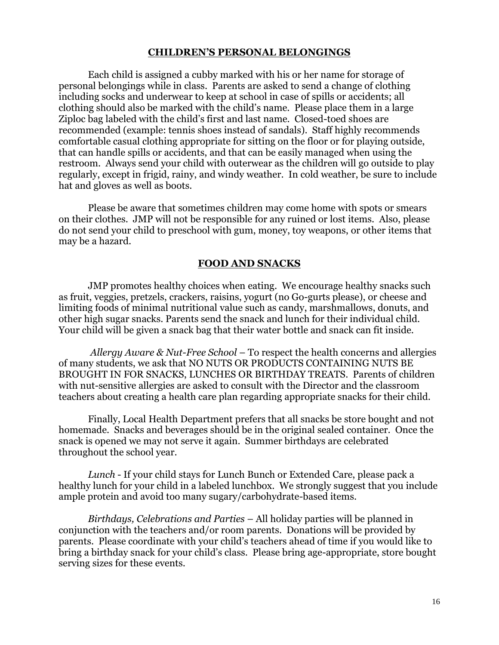#### **CHILDREN'S PERSONAL BELONGINGS**

 Each child is assigned a cubby marked with his or her name for storage of personal belongings while in class. Parents are asked to send a change of clothing including socks and underwear to keep at school in case of spills or accidents; all clothing should also be marked with the child's name. Please place them in a large Ziploc bag labeled with the child's first and last name. Closed-toed shoes are recommended (example: tennis shoes instead of sandals). Staff highly recommends comfortable casual clothing appropriate for sitting on the floor or for playing outside, that can handle spills or accidents, and that can be easily managed when using the restroom. Always send your child with outerwear as the children will go outside to play regularly, except in frigid, rainy, and windy weather. In cold weather, be sure to include hat and gloves as well as boots.

 Please be aware that sometimes children may come home with spots or smears on their clothes. JMP will not be responsible for any ruined or lost items. Also, please do not send your child to preschool with gum, money, toy weapons, or other items that may be a hazard.

#### **FOOD AND SNACKS**

 JMP promotes healthy choices when eating. We encourage healthy snacks such as fruit, veggies, pretzels, crackers, raisins, yogurt (no Go-gurts please), or cheese and limiting foods of minimal nutritional value such as candy, marshmallows, donuts, and other high sugar snacks. Parents send the snack and lunch for their individual child. Your child will be given a snack bag that their water bottle and snack can fit inside.

 *Allergy Aware & Nut-Free School* – To respect the health concerns and allergies of many students, we ask that NO NUTS OR PRODUCTS CONTAINING NUTS BE BROUGHT IN FOR SNACKS, LUNCHES OR BIRTHDAY TREATS. Parents of children with nut-sensitive allergies are asked to consult with the Director and the classroom teachers about creating a health care plan regarding appropriate snacks for their child.

 Finally, Local Health Department prefers that all snacks be store bought and not homemade. Snacks and beverages should be in the original sealed container. Once the snack is opened we may not serve it again. Summer birthdays are celebrated throughout the school year.

 *Lunch* - If your child stays for Lunch Bunch or Extended Care, please pack a healthy lunch for your child in a labeled lunchbox. We strongly suggest that you include ample protein and avoid too many sugary/carbohydrate-based items.

 *Birthdays, Celebrations and Parties* – All holiday parties will be planned in conjunction with the teachers and/or room parents. Donations will be provided by parents. Please coordinate with your child's teachers ahead of time if you would like to bring a birthday snack for your child's class. Please bring age-appropriate, store bought serving sizes for these events.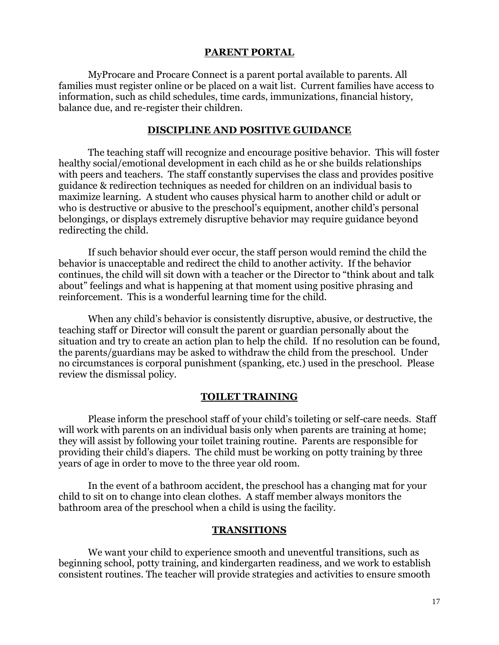#### **PARENT PORTAL**

MyProcare and Procare Connect is a parent portal available to parents. All families must register online or be placed on a wait list. Current families have access to information, such as child schedules, time cards, immunizations, financial history, balance due, and re-register their children.

#### **DISCIPLINE AND POSITIVE GUIDANCE**

 The teaching staff will recognize and encourage positive behavior. This will foster healthy social/emotional development in each child as he or she builds relationships with peers and teachers. The staff constantly supervises the class and provides positive guidance & redirection techniques as needed for children on an individual basis to maximize learning. A student who causes physical harm to another child or adult or who is destructive or abusive to the preschool's equipment, another child's personal belongings, or displays extremely disruptive behavior may require guidance beyond redirecting the child.

 If such behavior should ever occur, the staff person would remind the child the behavior is unacceptable and redirect the child to another activity. If the behavior continues, the child will sit down with a teacher or the Director to "think about and talk about" feelings and what is happening at that moment using positive phrasing and reinforcement. This is a wonderful learning time for the child.

 When any child's behavior is consistently disruptive, abusive, or destructive, the teaching staff or Director will consult the parent or guardian personally about the situation and try to create an action plan to help the child. If no resolution can be found, the parents/guardians may be asked to withdraw the child from the preschool. Under no circumstances is corporal punishment (spanking, etc.) used in the preschool. Please review the dismissal policy.

#### **TOILET TRAINING**

 Please inform the preschool staff of your child's toileting or self-care needs. Staff will work with parents on an individual basis only when parents are training at home; they will assist by following your toilet training routine. Parents are responsible for providing their child's diapers. The child must be working on potty training by three years of age in order to move to the three year old room.

 In the event of a bathroom accident, the preschool has a changing mat for your child to sit on to change into clean clothes. A staff member always monitors the bathroom area of the preschool when a child is using the facility.

#### **TRANSITIONS**

 We want your child to experience smooth and uneventful transitions, such as beginning school, potty training, and kindergarten readiness, and we work to establish consistent routines. The teacher will provide strategies and activities to ensure smooth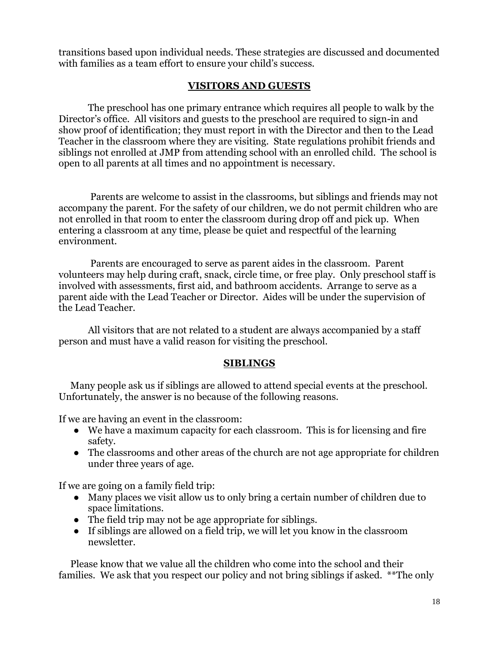transitions based upon individual needs. These strategies are discussed and documented with families as a team effort to ensure your child's success.

# **VISITORS AND GUESTS**

 The preschool has one primary entrance which requires all people to walk by the Director's office. All visitors and guests to the preschool are required to sign-in and show proof of identification; they must report in with the Director and then to the Lead Teacher in the classroom where they are visiting. State regulations prohibit friends and siblings not enrolled at JMP from attending school with an enrolled child. The school is open to all parents at all times and no appointment is necessary.

 Parents are welcome to assist in the classrooms, but siblings and friends may not accompany the parent. For the safety of our children, we do not permit children who are not enrolled in that room to enter the classroom during drop off and pick up. When entering a classroom at any time, please be quiet and respectful of the learning environment.

 Parents are encouraged to serve as parent aides in the classroom. Parent volunteers may help during craft, snack, circle time, or free play. Only preschool staff is involved with assessments, first aid, and bathroom accidents. Arrange to serve as a parent aide with the Lead Teacher or Director. Aides will be under the supervision of the Lead Teacher.

 All visitors that are not related to a student are always accompanied by a staff person and must have a valid reason for visiting the preschool.

# **SIBLINGS**

 Many people ask us if siblings are allowed to attend special events at the preschool. Unfortunately, the answer is no because of the following reasons.

If we are having an event in the classroom:

- We have a maximum capacity for each classroom. This is for licensing and fire safety.
- The classrooms and other areas of the church are not age appropriate for children under three years of age.

If we are going on a family field trip:

- Many places we visit allow us to only bring a certain number of children due to space limitations.
- The field trip may not be age appropriate for siblings.
- If siblings are allowed on a field trip, we will let you know in the classroom newsletter.

 Please know that we value all the children who come into the school and their families. We ask that you respect our policy and not bring siblings if asked. \*\*The only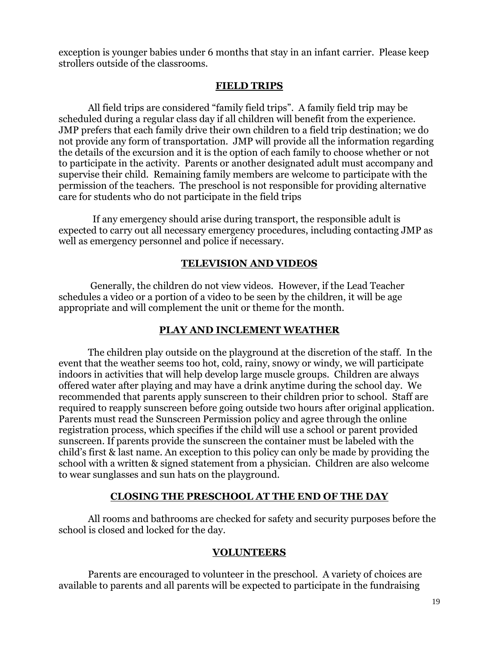exception is younger babies under 6 months that stay in an infant carrier. Please keep strollers outside of the classrooms.

# **FIELD TRIPS**

 All field trips are considered "family field trips". A family field trip may be scheduled during a regular class day if all children will benefit from the experience. JMP prefers that each family drive their own children to a field trip destination; we do not provide any form of transportation. JMP will provide all the information regarding the details of the excursion and it is the option of each family to choose whether or not to participate in the activity. Parents or another designated adult must accompany and supervise their child. Remaining family members are welcome to participate with the permission of the teachers. The preschool is not responsible for providing alternative care for students who do not participate in the field trips

 If any emergency should arise during transport, the responsible adult is expected to carry out all necessary emergency procedures, including contacting JMP as well as emergency personnel and police if necessary.

# **TELEVISION AND VIDEOS**

 Generally, the children do not view videos. However, if the Lead Teacher schedules a video or a portion of a video to be seen by the children, it will be age appropriate and will complement the unit or theme for the month.

# **PLAY AND INCLEMENT WEATHER**

 The children play outside on the playground at the discretion of the staff. In the event that the weather seems too hot, cold, rainy, snowy or windy, we will participate indoors in activities that will help develop large muscle groups. Children are always offered water after playing and may have a drink anytime during the school day. We recommended that parents apply sunscreen to their children prior to school. Staff are required to reapply sunscreen before going outside two hours after original application. Parents must read the Sunscreen Permission policy and agree through the online registration process, which specifies if the child will use a school or parent provided sunscreen. If parents provide the sunscreen the container must be labeled with the child's first & last name. An exception to this policy can only be made by providing the school with a written & signed statement from a physician. Children are also welcome to wear sunglasses and sun hats on the playground.

# **CLOSING THE PRESCHOOL AT THE END OF THE DAY**

 All rooms and bathrooms are checked for safety and security purposes before the school is closed and locked for the day.

# **VOLUNTEERS**

 Parents are encouraged to volunteer in the preschool. A variety of choices are available to parents and all parents will be expected to participate in the fundraising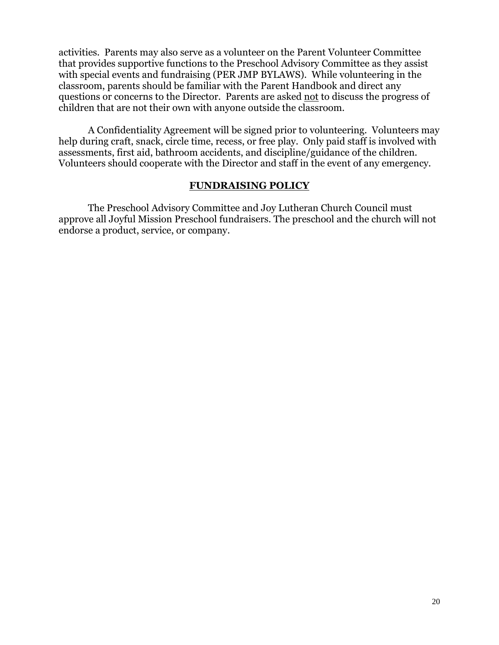activities. Parents may also serve as a volunteer on the Parent Volunteer Committee that provides supportive functions to the Preschool Advisory Committee as they assist with special events and fundraising (PER JMP BYLAWS). While volunteering in the classroom, parents should be familiar with the Parent Handbook and direct any questions or concerns to the Director. Parents are asked not to discuss the progress of children that are not their own with anyone outside the classroom.

 A Confidentiality Agreement will be signed prior to volunteering. Volunteers may help during craft, snack, circle time, recess, or free play. Only paid staff is involved with assessments, first aid, bathroom accidents, and discipline/guidance of the children. Volunteers should cooperate with the Director and staff in the event of any emergency.

#### **FUNDRAISING POLICY**

 The Preschool Advisory Committee and Joy Lutheran Church Council must approve all Joyful Mission Preschool fundraisers. The preschool and the church will not endorse a product, service, or company.